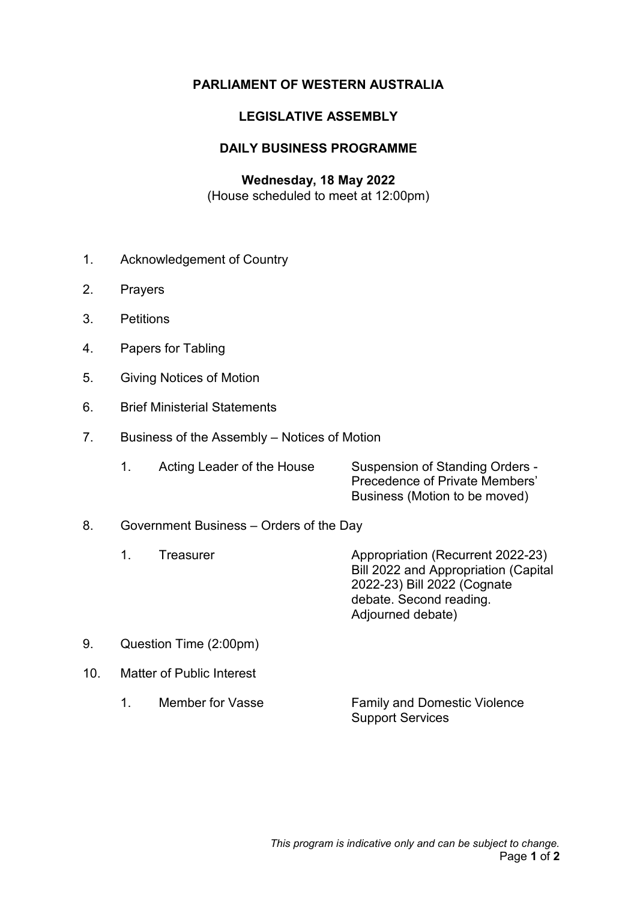## **PARLIAMENT OF WESTERN AUSTRALIA**

### **LEGISLATIVE ASSEMBLY**

## **DAILY BUSINESS PROGRAMME**

# **Wednesday, 18 May 2022**

(House scheduled to meet at 12:00pm)

- 1. Acknowledgement of Country
- 2. Prayers
- 3. Petitions
- 4. Papers for Tabling
- 5. Giving Notices of Motion
- 6. Brief Ministerial Statements
- 7. Business of the Assembly Notices of Motion

|  | Acting Leader of the House | Suspension of Standing Orders -       |
|--|----------------------------|---------------------------------------|
|  |                            | <b>Precedence of Private Members'</b> |
|  |                            | Business (Motion to be moved)         |

#### 8. Government Business – Orders of the Day

- 1. Treasurer **Appropriation (Recurrent 2022-23)** Bill 2022 and Appropriation (Capital 2022-23) Bill 2022 (Cognate debate. Second reading. Adjourned debate)
- 9. Question Time (2:00pm)
- 10. Matter of Public Interest
	- 1. Member for Vasse Family and Domestic Violence Support Services